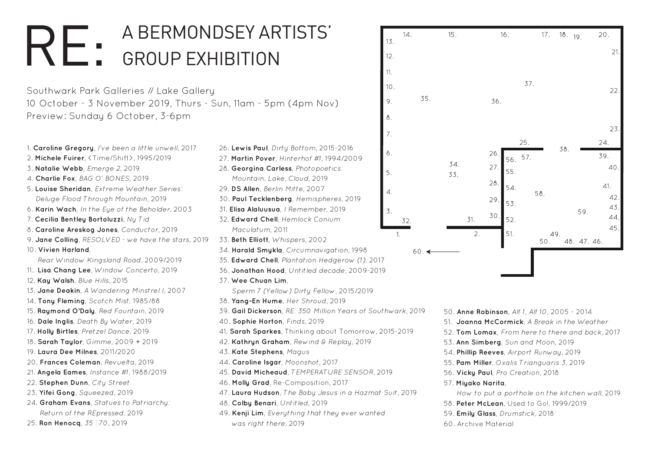Southwark Park Galleries // Lake Gallery 10 October - 3 November 2019, Thurs - Sun, 11am - 5pm (4pm Nov) Preview: Sunday 6 October, 3-6pm

```
50. Anne Robinson, Alf 1, Alf 10, 2005 - 2014
51. Joanna McCormick, A Break in the Weather
Tom Lomax, From here to there and back, 2017
Ann Simberg, Sun and Moon, 2019
54. Phillip Reeves, Airport Runway, 2019
Pam Miller, Oxalis Trianguaris 3, 2019
56. Vicky Paul, Pro Creation, 2018
57. Miyako Narita, 
 How to put a porthole on the kitchen wall, 2019
58. Peter McLean, Used to Go!, 1999/2019
59. Emily Glass, Drumstick, 2018 
Archive Material
```

| 1. Caroline Gregory, I've been a little unwell, 2017 | 26. Lewis Paul, Dirty Bottom, 2015-2016                      | 6.  |                |
|------------------------------------------------------|--------------------------------------------------------------|-----|----------------|
| 2. Michele Fuirer, <time shift="">, 1995/2019</time> | 27. Martin Pover, Hinterhof #1, 1994/2009                    |     |                |
| 3. Natalie Webb, Emerge 2, 2019                      | 28. Georgina Carless, Photopoetics:                          | 5.  | 34.            |
| 4. Charlie Fox, BAG O' BONES, 2019                   | Mountain, Lake, Cloud, 2019                                  |     | 33.            |
| 5. Louise Sheridan, Extreme Weather Series:          | 29. DS Allen, Berlin Mitte, 2007                             | 4.  |                |
| Deluge Flood Through Mountain, 2019                  | 30. Paul Tecklenberg, Hemispheres, 2019                      |     |                |
| 6. Karin Wach, In the Eye of the Beholder, 2003      | 31. Elisa Alaluusua, I Remember, 2019                        | 3.  |                |
| 7. Cecilia Bentley Bortoluzzi, Ny Tid                | 32. Edward Chell, Hemlock Conium                             | 32. |                |
| 8. Caroline Areskog Jones, Conductor, 2019           | Maculatum, 2011                                              | 1.  |                |
| 9. Jane Colling, RESOLVED - we have the stars, 2019  | 33. Beth Elliott, Whispers, 2002                             |     |                |
| 10. Vivien Harland,                                  | 34. Harald Smykla, Circumnavigation, 1998<br>60.4            |     |                |
| Rear Window Kingsland Road, 2009/2019                | 35. Edward Chell, Plantation Hedgerow (1), 2017              |     |                |
| 11. Lisa Chang Lee, Window Concerto, 2019            | 36. Jonathan Hood, Untitled decade, 2009-2019                |     |                |
| 12. Kay Walsh, Blue Hills, 2015                      | 37. Wee Chuan Lim,                                           |     |                |
| 13. Jane Deakin, A Wandering Minstrel I, 2007        | Sperm 7 (Yellow) Dirty Fellow, 2015/2019                     |     |                |
| 14. Tony Fleming, Scotch Mist, 1985/88               | 38. Yang-En Hume, Her Shroud, 2019                           |     |                |
| 15. Raymond O'Daly, Red Fountain, 2019               | 39. Gail Dickerson, RE: 350 Million Years of Southwark, 2019 |     | 50.4           |
| 16. Dale Inglis, Death By Water, 2019                | 40. Sophie Horton, Finds, 2019                               |     | 51. J          |
| 17. Holly Birtles, Pretzel Dance, 2019               | 41. Sarah Sparkes, Thinking about Tomorrow, 2015-2019        |     | 52. T          |
| 18. Sarah Taylor, Gimme, 2009 + 2019                 | 42. Kathryn Graham, Rewind & Replay, 2019                    |     | 53.A           |
| 19. Laura Dee Milnes, 2011/2020                      | 43. Kate Stephens, Magus                                     |     | 54. P          |
| 20. Frances Coleman, Revuelta, 2019                  | 44. Caroline Isgar, Moonshot, 2017                           |     | 55. P          |
| 21. Angela Eames, Instance #1, 1988/2019             | 45. David Micheaud, TEMPERATURE SENSOR, 2019                 |     | 56. V          |
| 22. Stephen Dunn, City Street                        | 46. Molly Grad, Re-Composition, 2017                         |     | $57.$ M        |
| 23. Yifei Gong, Squeezed, 2019                       | 47. Laura Hudson, The Baby Jesus in a Hazmat Suit, 2019      |     | $\overline{r}$ |
| 24. Graham Evans, Statues to Patriarchy:             | 48. Colby Benari, Untitled, 2019                             |     | 58.P           |
| Return of the REpressed, 2019                        | 49. Kenji Lim, Everything that they ever wanted              |     | 59.E           |
| 25. Ron Henocq, 35:70, 2019                          | was right there, 2019                                        |     | 60.A           |
|                                                      |                                                              |     |                |



 $15.$ 

 $31.$ 

 $2.$ 

 $14.$ 

35.

 $13.$ 

 $12.$ 

 $11.$ 

10.

9.

8.

 $7.$ 

## A BERMONDSEY ARTISTS' GROUP EXHIBITION RE: